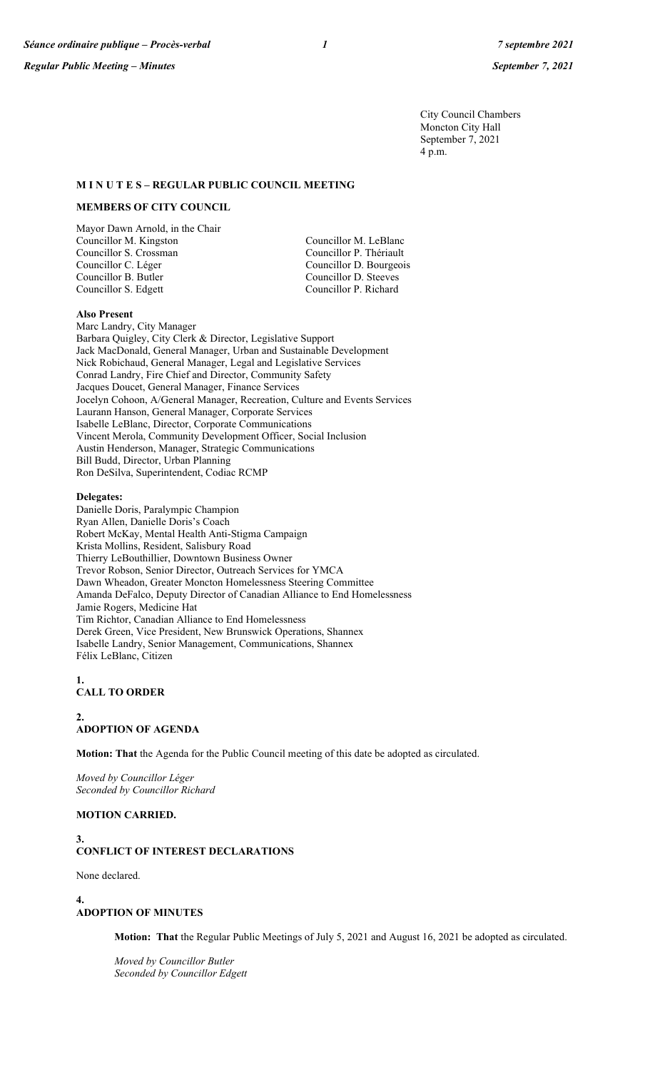City Council Chambers Moncton City Hall September 7, 2021 4 p.m.

#### **M I N U T E S – REGULAR PUBLIC COUNCIL MEETING**

#### **MEMBERS OF CITY COUNCIL**

Mayor Dawn Arnold, in the Chair Councillor M. Kingston Councillor M. LeBlanc Councillor S. Crossman Councillor P. Thériault Councillor B. Butler Councillor D. Steeves Councillor S. Edgett

Councillor D. Bourgeois

### **Also Present**

Marc Landry, City Manager Barbara Quigley, City Clerk & Director, Legislative Support Jack MacDonald, General Manager, Urban and Sustainable Development Nick Robichaud, General Manager, Legal and Legislative Services Conrad Landry, Fire Chief and Director, Community Safety Jacques Doucet, General Manager, Finance Services Jocelyn Cohoon, A/General Manager, Recreation, Culture and Events Services Laurann Hanson, General Manager, Corporate Services Isabelle LeBlanc, Director, Corporate Communications Vincent Merola, Community Development Officer, Social Inclusion Austin Henderson, Manager, Strategic Communications Bill Budd, Director, Urban Planning Ron DeSilva, Superintendent, Codiac RCMP

#### **Delegates:**

Danielle Doris, Paralympic Champion Ryan Allen, Danielle Doris's Coach Robert McKay, Mental Health Anti-Stigma Campaign Krista Mollins, Resident, Salisbury Road Thierry LeBouthillier, Downtown Business Owner Trevor Robson, Senior Director, Outreach Services for YMCA Dawn Wheadon, Greater Moncton Homelessness Steering Committee Amanda DeFalco, Deputy Director of Canadian Alliance to End Homelessness Jamie Rogers, Medicine Hat Tim Richtor, Canadian Alliance to End Homelessness Derek Green, Vice President, New Brunswick Operations, Shannex Isabelle Landry, Senior Management, Communications, Shannex Félix LeBlanc, Citizen

#### **1. CALL TO ORDER**

**2. ADOPTION OF AGENDA**

**Motion: That** the Agenda for the Public Council meeting of this date be adopted as circulated.

*Moved by Councillor Léger Seconded by Councillor Richard*

#### **MOTION CARRIED.**

# **3. CONFLICT OF INTEREST DECLARATIONS**

None declared.

**4. ADOPTION OF MINUTES**

**Motion: That** the Regular Public Meetings of July 5, 2021 and August 16, 2021 be adopted as circulated.

*Moved by Councillor Butler Seconded by Councillor Edgett*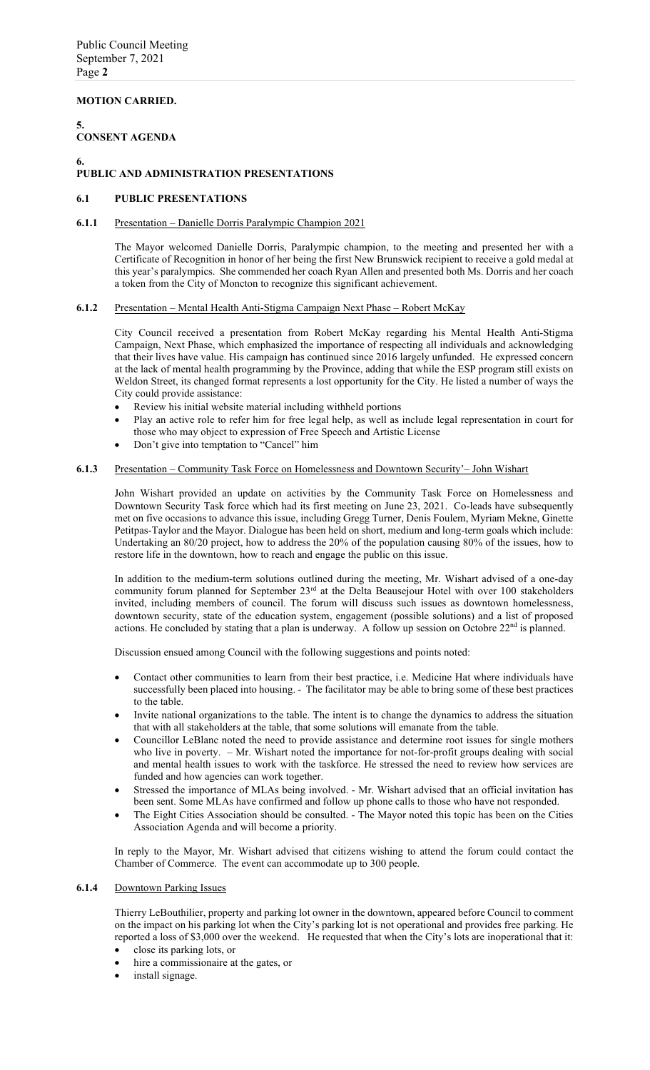## **MOTION CARRIED.**

### **5. CONSENT AGENDA**

### **6.**

## **PUBLIC AND ADMINISTRATION PRESENTATIONS**

#### **6.1 PUBLIC PRESENTATIONS**

#### **6.1.1** Presentation – Danielle Dorris Paralympic Champion 2021

The Mayor welcomed Danielle Dorris, Paralympic champion, to the meeting and presented her with a Certificate of Recognition in honor of her being the first New Brunswick recipient to receive a gold medal at this year's paralympics. She commended her coach Ryan Allen and presented both Ms. Dorris and her coach a token from the City of Moncton to recognize this significant achievement.

#### **6.1.2** Presentation – Mental Health Anti-Stigma Campaign Next Phase – Robert McKay

City Council received a presentation from Robert McKay regarding his Mental Health Anti-Stigma Campaign, Next Phase, which emphasized the importance of respecting all individuals and acknowledging that their lives have value. His campaign has continued since 2016 largely unfunded. He expressed concern at the lack of mental health programming by the Province, adding that while the ESP program still exists on Weldon Street, its changed format represents a lost opportunity for the City. He listed a number of ways the City could provide assistance:

- Review his initial website material including withheld portions
- Play an active role to refer him for free legal help, as well as include legal representation in court for those who may object to expression of Free Speech and Artistic License
- Don't give into temptation to "Cancel" him

#### **6.1.3** Presentation – Community Task Force on Homelessness and Downtown Security'– John Wishart

John Wishart provided an update on activities by the Community Task Force on Homelessness and Downtown Security Task force which had its first meeting on June 23, 2021. Co-leads have subsequently met on five occasions to advance this issue, including Gregg Turner, Denis Foulem, Myriam Mekne, Ginette Petitpas-Taylor and the Mayor. Dialogue has been held on short, medium and long-term goals which include: Undertaking an 80/20 project, how to address the 20% of the population causing 80% of the issues, how to restore life in the downtown, how to reach and engage the public on this issue.

In addition to the medium-term solutions outlined during the meeting, Mr. Wishart advised of a one-day community forum planned for September 23<sup>rd</sup> at the Delta Beausejour Hotel with over 100 stakeholders invited, including members of council. The forum will discuss such issues as downtown homelessness, downtown security, state of the education system, engagement (possible solutions) and a list of proposed actions. He concluded by stating that a plan is underway. A follow up session on Octobre 22<sup>nd</sup> is planned.

Discussion ensued among Council with the following suggestions and points noted:

- Contact other communities to learn from their best practice, i.e. Medicine Hat where individuals have successfully been placed into housing. - The facilitator may be able to bring some of these best practices to the table.
- Invite national organizations to the table. The intent is to change the dynamics to address the situation that with all stakeholders at the table, that some solutions will emanate from the table.
- Councillor LeBlanc noted the need to provide assistance and determine root issues for single mothers who live in poverty. – Mr. Wishart noted the importance for not-for-profit groups dealing with social and mental health issues to work with the taskforce. He stressed the need to review how services are funded and how agencies can work together.
- Stressed the importance of MLAs being involved. Mr. Wishart advised that an official invitation has been sent. Some MLAs have confirmed and follow up phone calls to those who have not responded.
- The Eight Cities Association should be consulted. The Mayor noted this topic has been on the Cities Association Agenda and will become a priority.

In reply to the Mayor, Mr. Wishart advised that citizens wishing to attend the forum could contact the Chamber of Commerce. The event can accommodate up to 300 people.

### **6.1.4** Downtown Parking Issues

Thierry LeBouthilier, property and parking lot owner in the downtown, appeared before Council to comment on the impact on his parking lot when the City's parking lot is not operational and provides free parking. He reported a loss of \$3,000 over the weekend. He requested that when the City's lots are inoperational that it:

- close its parking lots, or
- hire a commissionaire at the gates, or
- install signage.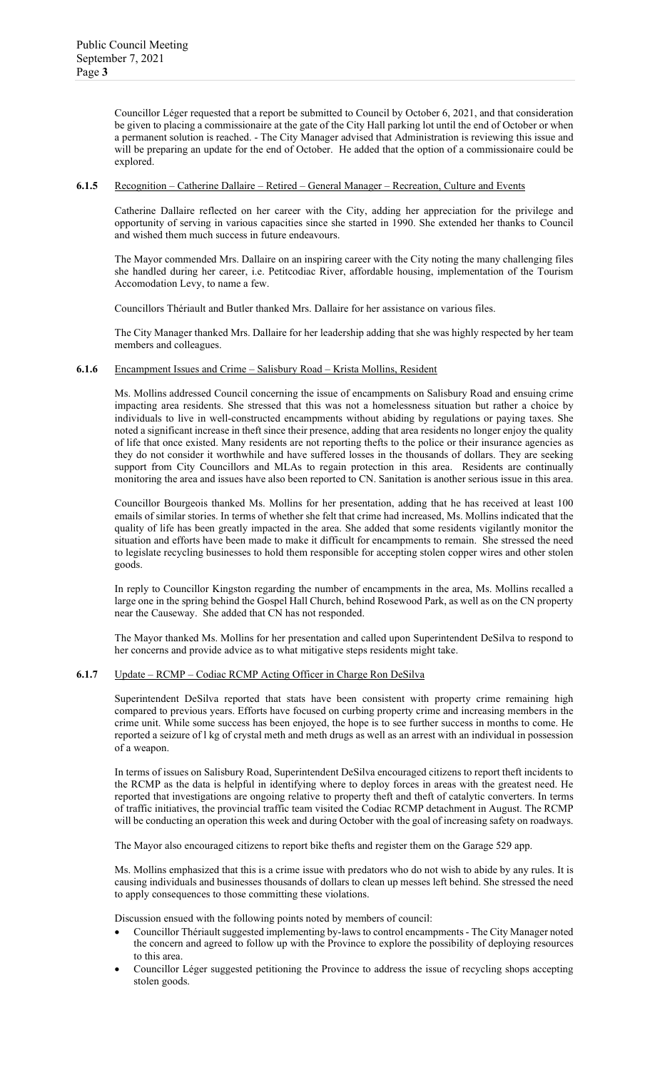Councillor Léger requested that a report be submitted to Council by October 6, 2021, and that consideration be given to placing a commissionaire at the gate of the City Hall parking lot until the end of October or when a permanent solution is reached. - The City Manager advised that Administration is reviewing this issue and will be preparing an update for the end of October. He added that the option of a commissionaire could be explored.

#### **6.1.5** Recognition – Catherine Dallaire – Retired – General Manager – Recreation, Culture and Events

Catherine Dallaire reflected on her career with the City, adding her appreciation for the privilege and opportunity of serving in various capacities since she started in 1990. She extended her thanks to Council and wished them much success in future endeavours.

The Mayor commended Mrs. Dallaire on an inspiring career with the City noting the many challenging files she handled during her career, i.e. Petitcodiac River, affordable housing, implementation of the Tourism Accomodation Levy, to name a few.

Councillors Thériault and Butler thanked Mrs. Dallaire for her assistance on various files.

The City Manager thanked Mrs. Dallaire for her leadership adding that she was highly respected by her team members and colleagues.

#### **6.1.6** Encampment Issues and Crime – Salisbury Road – Krista Mollins, Resident

Ms. Mollins addressed Council concerning the issue of encampments on Salisbury Road and ensuing crime impacting area residents. She stressed that this was not a homelessness situation but rather a choice by individuals to live in well-constructed encampments without abiding by regulations or paying taxes. She noted a significant increase in theft since their presence, adding that area residents no longer enjoy the quality of life that once existed. Many residents are not reporting thefts to the police or their insurance agencies as they do not consider it worthwhile and have suffered losses in the thousands of dollars. They are seeking support from City Councillors and MLAs to regain protection in this area. Residents are continually monitoring the area and issues have also been reported to CN. Sanitation is another serious issue in this area.

Councillor Bourgeois thanked Ms. Mollins for her presentation, adding that he has received at least 100 emails of similar stories. In terms of whether she felt that crime had increased, Ms. Mollins indicated that the quality of life has been greatly impacted in the area. She added that some residents vigilantly monitor the situation and efforts have been made to make it difficult for encampments to remain. She stressed the need to legislate recycling businesses to hold them responsible for accepting stolen copper wires and other stolen goods.

In reply to Councillor Kingston regarding the number of encampments in the area, Ms. Mollins recalled a large one in the spring behind the Gospel Hall Church, behind Rosewood Park, as well as on the CN property near the Causeway. She added that CN has not responded.

The Mayor thanked Ms. Mollins for her presentation and called upon Superintendent DeSilva to respond to her concerns and provide advice as to what mitigative steps residents might take.

#### **6.1.7** Update – RCMP – Codiac RCMP Acting Officer in Charge Ron DeSilva

Superintendent DeSilva reported that stats have been consistent with property crime remaining high compared to previous years. Efforts have focused on curbing property crime and increasing members in the crime unit. While some success has been enjoyed, the hope is to see further success in months to come. He reported a seizure of l kg of crystal meth and meth drugs as well as an arrest with an individual in possession of a weapon.

In terms of issues on Salisbury Road, Superintendent DeSilva encouraged citizens to report theft incidents to the RCMP as the data is helpful in identifying where to deploy forces in areas with the greatest need. He reported that investigations are ongoing relative to property theft and theft of catalytic converters. In terms of traffic initiatives, the provincial traffic team visited the Codiac RCMP detachment in August. The RCMP will be conducting an operation this week and during October with the goal of increasing safety on roadways.

The Mayor also encouraged citizens to report bike thefts and register them on the Garage 529 app.

Ms. Mollins emphasized that this is a crime issue with predators who do not wish to abide by any rules. It is causing individuals and businesses thousands of dollars to clean up messes left behind. She stressed the need to apply consequences to those committing these violations.

Discussion ensued with the following points noted by members of council:

- Councillor Thériault suggested implementing by-laws to control encampments The City Manager noted the concern and agreed to follow up with the Province to explore the possibility of deploying resources to this area.
- Councillor Léger suggested petitioning the Province to address the issue of recycling shops accepting stolen goods.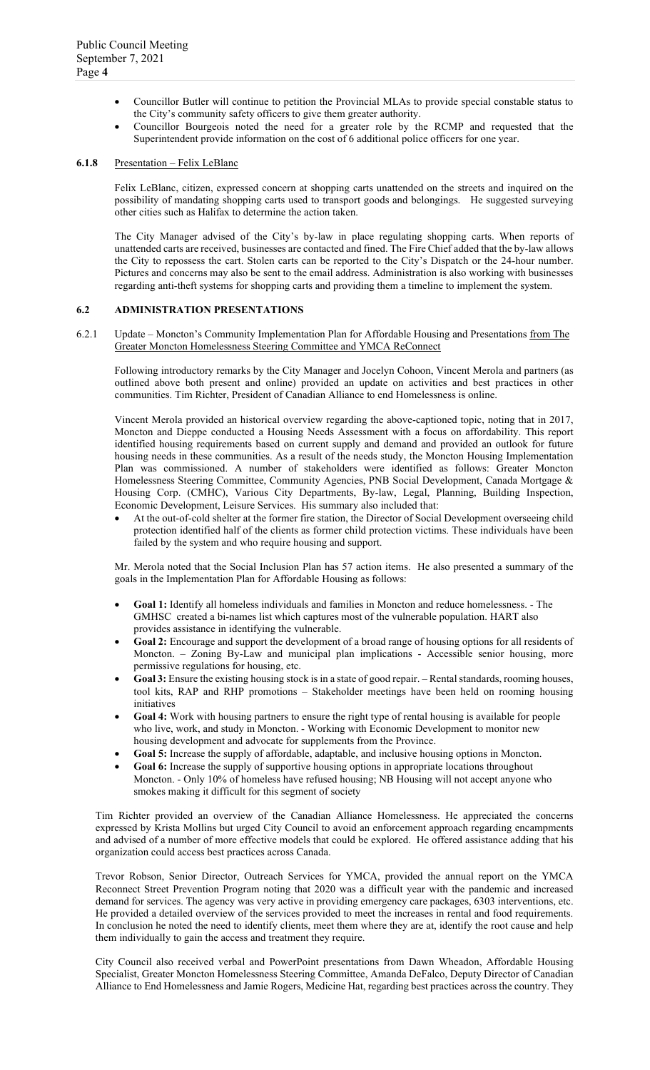- Councillor Butler will continue to petition the Provincial MLAs to provide special constable status to the City's community safety officers to give them greater authority.
- Councillor Bourgeois noted the need for a greater role by the RCMP and requested that the Superintendent provide information on the cost of 6 additional police officers for one year.

#### **6.1.8** Presentation – Felix LeBlanc

Felix LeBlanc, citizen, expressed concern at shopping carts unattended on the streets and inquired on the possibility of mandating shopping carts used to transport goods and belongings. He suggested surveying other cities such as Halifax to determine the action taken.

The City Manager advised of the City's by-law in place regulating shopping carts. When reports of unattended carts are received, businesses are contacted and fined. The Fire Chief added that the by-law allows the City to repossess the cart. Stolen carts can be reported to the City's Dispatch or the 24-hour number. Pictures and concerns may also be sent to the email address. Administration is also working with businesses regarding anti-theft systems for shopping carts and providing them a timeline to implement the system.

#### **6.2 ADMINISTRATION PRESENTATIONS**

6.2.1 Update – Moncton's Community Implementation Plan for Affordable Housing and Presentations from The Greater Moncton Homelessness Steering Committee and YMCA ReConnect

Following introductory remarks by the City Manager and Jocelyn Cohoon, Vincent Merola and partners (as outlined above both present and online) provided an update on activities and best practices in other communities. Tim Richter, President of Canadian Alliance to end Homelessness is online.

Vincent Merola provided an historical overview regarding the above-captioned topic, noting that in 2017, Moncton and Dieppe conducted a Housing Needs Assessment with a focus on affordability. This report identified housing requirements based on current supply and demand and provided an outlook for future housing needs in these communities. As a result of the needs study, the Moncton Housing Implementation Plan was commissioned. A number of stakeholders were identified as follows: Greater Moncton Homelessness Steering Committee, Community Agencies, PNB Social Development, Canada Mortgage & Housing Corp. (CMHC), Various City Departments, By-law, Legal, Planning, Building Inspection, Economic Development, Leisure Services. His summary also included that:

• At the out-of-cold shelter at the former fire station, the Director of Social Development overseeing child protection identified half of the clients as former child protection victims. These individuals have been failed by the system and who require housing and support.

Mr. Merola noted that the Social Inclusion Plan has 57 action items. He also presented a summary of the goals in the Implementation Plan for Affordable Housing as follows:

- **Goal 1:** Identify all homeless individuals and families in Moncton and reduce homelessness. The GMHSC created a bi-names list which captures most of the vulnerable population. HART also provides assistance in identifying the vulnerable.
- **Goal 2:** Encourage and support the development of a broad range of housing options for all residents of Moncton. – Zoning By-Law and municipal plan implications - Accessible senior housing, more permissive regulations for housing, etc.
- **Goal 3:** Ensure the existing housing stock is in a state of good repair. Rental standards, rooming houses, tool kits, RAP and RHP promotions – Stakeholder meetings have been held on rooming housing initiatives
- **Goal 4:** Work with housing partners to ensure the right type of rental housing is available for people who live, work, and study in Moncton. - Working with Economic Development to monitor new housing development and advocate for supplements from the Province.
- **Goal 5:** Increase the supply of affordable, adaptable, and inclusive housing options in Moncton.
- Goal 6: Increase the supply of supportive housing options in appropriate locations throughout Moncton. - Only 10% of homeless have refused housing; NB Housing will not accept anyone who smokes making it difficult for this segment of society

Tim Richter provided an overview of the Canadian Alliance Homelessness. He appreciated the concerns expressed by Krista Mollins but urged City Council to avoid an enforcement approach regarding encampments and advised of a number of more effective models that could be explored. He offered assistance adding that his organization could access best practices across Canada.

Trevor Robson, Senior Director, Outreach Services for YMCA, provided the annual report on the YMCA Reconnect Street Prevention Program noting that 2020 was a difficult year with the pandemic and increased demand for services. The agency was very active in providing emergency care packages, 6303 interventions, etc. He provided a detailed overview of the services provided to meet the increases in rental and food requirements. In conclusion he noted the need to identify clients, meet them where they are at, identify the root cause and help them individually to gain the access and treatment they require.

City Council also received verbal and PowerPoint presentations from Dawn Wheadon, Affordable Housing Specialist, Greater Moncton Homelessness Steering Committee, Amanda DeFalco, Deputy Director of Canadian Alliance to End Homelessness and Jamie Rogers, Medicine Hat, regarding best practices across the country. They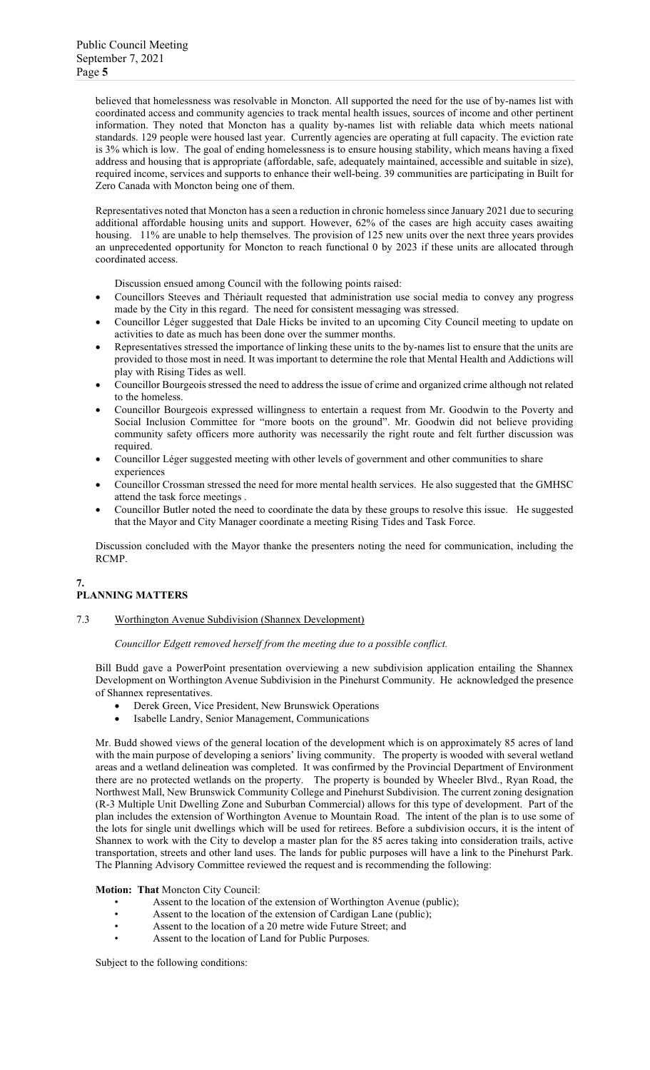believed that homelessness was resolvable in Moncton. All supported the need for the use of by-names list with coordinated access and community agencies to track mental health issues, sources of income and other pertinent information. They noted that Moncton has a quality by-names list with reliable data which meets national standards. 129 people were housed last year. Currently agencies are operating at full capacity. The eviction rate is 3% which is low. The goal of ending homelessness is to ensure housing stability, which means having a fixed address and housing that is appropriate (affordable, safe, adequately maintained, accessible and suitable in size), required income, services and supports to enhance their well-being. 39 communities are participating in Built for Zero Canada with Moncton being one of them.

Representatives noted that Moncton has a seen a reduction in chronic homeless since January 2021 due to securing additional affordable housing units and support. However, 62% of the cases are high accuity cases awaiting housing. 11% are unable to help themselves. The provision of 125 new units over the next three years provides an unprecedented opportunity for Moncton to reach functional 0 by 2023 if these units are allocated through coordinated access.

Discussion ensued among Council with the following points raised:

- Councillors Steeves and Thériault requested that administration use social media to convey any progress made by the City in this regard. The need for consistent messaging was stressed.
- Councillor Léger suggested that Dale Hicks be invited to an upcoming City Council meeting to update on activities to date as much has been done over the summer months.
- Representatives stressed the importance of linking these units to the by-names list to ensure that the units are provided to those most in need. It was important to determine the role that Mental Health and Addictions will play with Rising Tides as well.
- Councillor Bourgeois stressed the need to address the issue of crime and organized crime although not related to the homeless.
- Councillor Bourgeois expressed willingness to entertain a request from Mr. Goodwin to the Poverty and Social Inclusion Committee for "more boots on the ground". Mr. Goodwin did not believe providing community safety officers more authority was necessarily the right route and felt further discussion was required.
- Councillor Léger suggested meeting with other levels of government and other communities to share experiences
- Councillor Crossman stressed the need for more mental health services. He also suggested that the GMHSC attend the task force meetings .
- Councillor Butler noted the need to coordinate the data by these groups to resolve this issue. He suggested that the Mayor and City Manager coordinate a meeting Rising Tides and Task Force.

Discussion concluded with the Mayor thanke the presenters noting the need for communication, including the RCMP.

### **7. PLANNING MATTERS**

7.3 Worthington Avenue Subdivision (Shannex Development)

*Councillor Edgett removed herself from the meeting due to a possible conflict.* 

Bill Budd gave a PowerPoint presentation overviewing a new subdivision application entailing the Shannex Development on Worthington Avenue Subdivision in the Pinehurst Community. He acknowledged the presence of Shannex representatives.

- Derek Green, Vice President, New Brunswick Operations
- Isabelle Landry, Senior Management, Communications

Mr. Budd showed views of the general location of the development which is on approximately 85 acres of land with the main purpose of developing a seniors' living community. The property is wooded with several wetland areas and a wetland delineation was completed. It was confirmed by the Provincial Department of Environment there are no protected wetlands on the property. The property is bounded by Wheeler Blvd., Ryan Road, the Northwest Mall, New Brunswick Community College and Pinehurst Subdivision. The current zoning designation (R-3 Multiple Unit Dwelling Zone and Suburban Commercial) allows for this type of development. Part of the plan includes the extension of Worthington Avenue to Mountain Road. The intent of the plan is to use some of the lots for single unit dwellings which will be used for retirees. Before a subdivision occurs, it is the intent of Shannex to work with the City to develop a master plan for the 85 acres taking into consideration trails, active transportation, streets and other land uses. The lands for public purposes will have a link to the Pinehurst Park. The Planning Advisory Committee reviewed the request and is recommending the following:

**Motion: That** Moncton City Council:

- Assent to the location of the extension of Worthington Avenue (public);
- Assent to the location of the extension of Cardigan Lane (public);
- Assent to the location of a 20 metre wide Future Street; and
- Assent to the location of Land for Public Purposes.

Subject to the following conditions: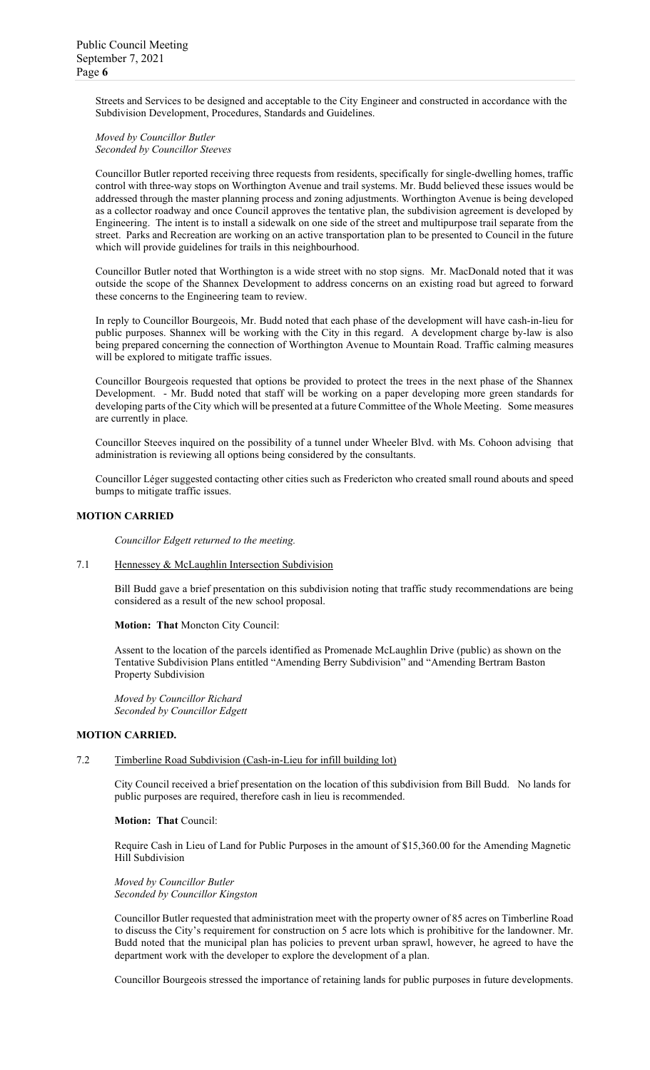Streets and Services to be designed and acceptable to the City Engineer and constructed in accordance with the Subdivision Development, Procedures, Standards and Guidelines.

#### *Moved by Councillor Butler Seconded by Councillor Steeves*

Councillor Butler reported receiving three requests from residents, specifically for single-dwelling homes, traffic control with three-way stops on Worthington Avenue and trail systems. Mr. Budd believed these issues would be addressed through the master planning process and zoning adjustments. Worthington Avenue is being developed as a collector roadway and once Council approves the tentative plan, the subdivision agreement is developed by Engineering. The intent is to install a sidewalk on one side of the street and multipurpose trail separate from the street. Parks and Recreation are working on an active transportation plan to be presented to Council in the future which will provide guidelines for trails in this neighbourhood.

Councillor Butler noted that Worthington is a wide street with no stop signs. Mr. MacDonald noted that it was outside the scope of the Shannex Development to address concerns on an existing road but agreed to forward these concerns to the Engineering team to review.

In reply to Councillor Bourgeois, Mr. Budd noted that each phase of the development will have cash-in-lieu for public purposes. Shannex will be working with the City in this regard. A development charge by-law is also being prepared concerning the connection of Worthington Avenue to Mountain Road. Traffic calming measures will be explored to mitigate traffic issues.

Councillor Bourgeois requested that options be provided to protect the trees in the next phase of the Shannex Development. - Mr. Budd noted that staff will be working on a paper developing more green standards for developing parts of the City which will be presented at a future Committee of the Whole Meeting. Some measures are currently in place.

Councillor Steeves inquired on the possibility of a tunnel under Wheeler Blvd. with Ms. Cohoon advising that administration is reviewing all options being considered by the consultants.

Councillor Léger suggested contacting other cities such as Fredericton who created small round abouts and speed bumps to mitigate traffic issues.

### **MOTION CARRIED**

*Councillor Edgett returned to the meeting.*

### 7.1 Hennessey & McLaughlin Intersection Subdivision

Bill Budd gave a brief presentation on this subdivision noting that traffic study recommendations are being considered as a result of the new school proposal.

**Motion: That** Moncton City Council:

Assent to the location of the parcels identified as Promenade McLaughlin Drive (public) as shown on the Tentative Subdivision Plans entitled "Amending Berry Subdivision" and "Amending Bertram Baston Property Subdivision

*Moved by Councillor Richard Seconded by Councillor Edgett*

#### **MOTION CARRIED.**

#### 7.2 Timberline Road Subdivision (Cash-in-Lieu for infill building lot)

City Council received a brief presentation on the location of this subdivision from Bill Budd. No lands for public purposes are required, therefore cash in lieu is recommended.

#### **Motion: That** Council:

Require Cash in Lieu of Land for Public Purposes in the amount of \$15,360.00 for the Amending Magnetic Hill Subdivision

*Moved by Councillor Butler Seconded by Councillor Kingston*

Councillor Butler requested that administration meet with the property owner of 85 acres on Timberline Road to discuss the City's requirement for construction on 5 acre lots which is prohibitive for the landowner. Mr. Budd noted that the municipal plan has policies to prevent urban sprawl, however, he agreed to have the department work with the developer to explore the development of a plan.

Councillor Bourgeois stressed the importance of retaining lands for public purposes in future developments.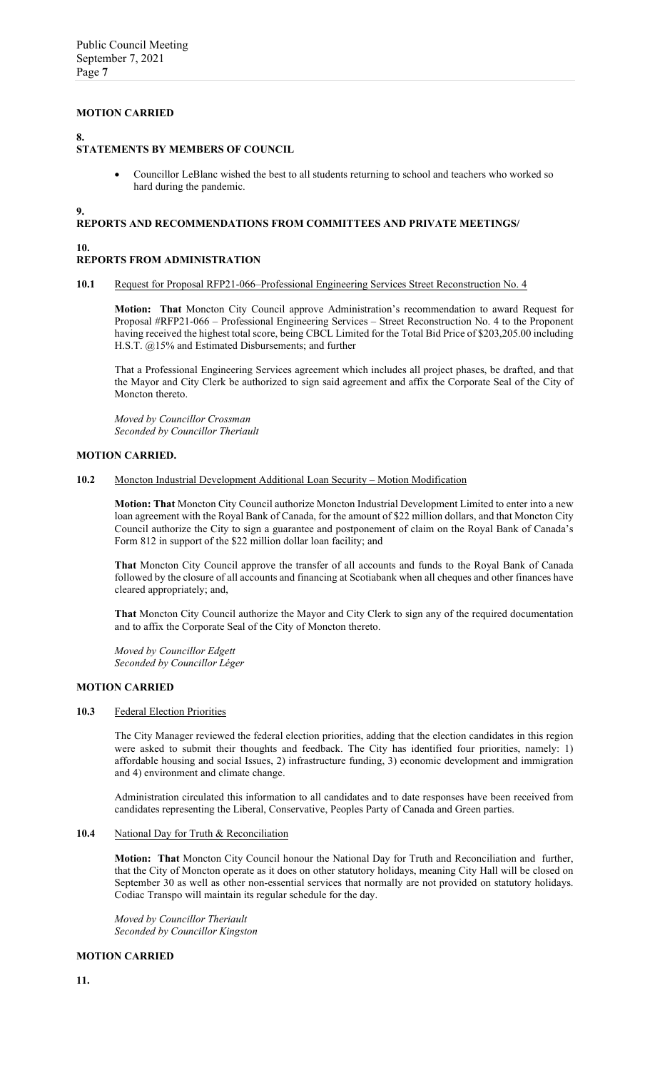### **MOTION CARRIED**

### **8.**

## **STATEMENTS BY MEMBERS OF COUNCIL**

• Councillor LeBlanc wished the best to all students returning to school and teachers who worked so hard during the pandemic.

**9.**

### **REPORTS AND RECOMMENDATIONS FROM COMMITTEES AND PRIVATE MEETINGS/**

## **10.**

### **REPORTS FROM ADMINISTRATION**

#### **10.1** Request for Proposal RFP21-066–Professional Engineering Services Street Reconstruction No. 4

**Motion: That** Moncton City Council approve Administration's recommendation to award Request for Proposal #RFP21-066 – Professional Engineering Services – Street Reconstruction No. 4 to the Proponent having received the highest total score, being CBCL Limited for the Total Bid Price of \$203,205.00 including H.S.T. @15% and Estimated Disbursements; and further

That a Professional Engineering Services agreement which includes all project phases, be drafted, and that the Mayor and City Clerk be authorized to sign said agreement and affix the Corporate Seal of the City of Moncton thereto.

*Moved by Councillor Crossman Seconded by Councillor Theriault*

#### **MOTION CARRIED.**

#### **10.2** Moncton Industrial Development Additional Loan Security – Motion Modification

**Motion: That** Moncton City Council authorize Moncton Industrial Development Limited to enter into a new loan agreement with the Royal Bank of Canada, for the amount of \$22 million dollars, and that Moncton City Council authorize the City to sign a guarantee and postponement of claim on the Royal Bank of Canada's Form 812 in support of the \$22 million dollar loan facility; and

**That** Moncton City Council approve the transfer of all accounts and funds to the Royal Bank of Canada followed by the closure of all accounts and financing at Scotiabank when all cheques and other finances have cleared appropriately; and,

**That** Moncton City Council authorize the Mayor and City Clerk to sign any of the required documentation and to affix the Corporate Seal of the City of Moncton thereto.

*Moved by Councillor Edgett Seconded by Councillor Léger*

#### **MOTION CARRIED**

#### **10.3** Federal Election Priorities

The City Manager reviewed the federal election priorities, adding that the election candidates in this region were asked to submit their thoughts and feedback. The City has identified four priorities, namely: 1) affordable housing and social Issues, 2) infrastructure funding, 3) economic development and immigration and 4) environment and climate change.

Administration circulated this information to all candidates and to date responses have been received from candidates representing the Liberal, Conservative, Peoples Party of Canada and Green parties.

#### 10.4 National Day for Truth & Reconciliation

**Motion: That** Moncton City Council honour the National Day for Truth and Reconciliation and further, that the City of Moncton operate as it does on other statutory holidays, meaning City Hall will be closed on September 30 as well as other non-essential services that normally are not provided on statutory holidays. Codiac Transpo will maintain its regular schedule for the day.

*Moved by Councillor Theriault Seconded by Councillor Kingston*

### **MOTION CARRIED**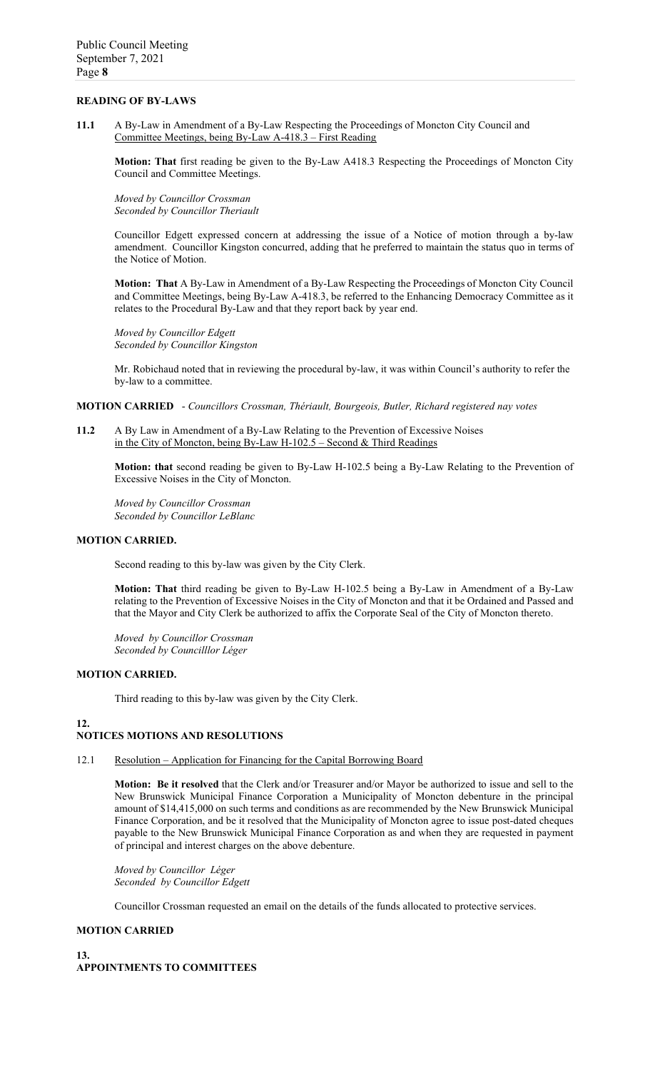## **READING OF BY-LAWS**

**11.1** A By-Law in Amendment of a By-Law Respecting the Proceedings of Moncton City Council and Committee Meetings, being By-Law A-418.3 – First Reading

**Motion: That** first reading be given to the By-Law A418.3 Respecting the Proceedings of Moncton City Council and Committee Meetings.

*Moved by Councillor Crossman Seconded by Councillor Theriault*

Councillor Edgett expressed concern at addressing the issue of a Notice of motion through a by-law amendment. Councillor Kingston concurred, adding that he preferred to maintain the status quo in terms of the Notice of Motion.

**Motion: That** A By-Law in Amendment of a By-Law Respecting the Proceedings of Moncton City Council and Committee Meetings, being By-Law A-418.3, be referred to the Enhancing Democracy Committee as it relates to the Procedural By-Law and that they report back by year end.

*Moved by Councillor Edgett Seconded by Councillor Kingston*

Mr. Robichaud noted that in reviewing the procedural by-law, it was within Council's authority to refer the by-law to a committee.

**MOTION CARRIED** - *Councillors Crossman, Thériault, Bourgeois, Butler, Richard registered nay votes*

**11.2** A By Law in Amendment of a By-Law Relating to the Prevention of Excessive Noises in the City of Moncton, being By-Law H-102.5 – Second & Third Readings

**Motion: that** second reading be given to By-Law H-102.5 being a By-Law Relating to the Prevention of Excessive Noises in the City of Moncton.

*Moved by Councillor Crossman Seconded by Councillor LeBlanc*

#### **MOTION CARRIED.**

Second reading to this by-law was given by the City Clerk.

**Motion: That** third reading be given to By-Law H-102.5 being a By-Law in Amendment of a By-Law relating to the Prevention of Excessive Noises in the City of Moncton and that it be Ordained and Passed and that the Mayor and City Clerk be authorized to affix the Corporate Seal of the City of Moncton thereto.

*Moved by Councillor Crossman Seconded by Councilllor Léger*

### **MOTION CARRIED.**

Third reading to this by-law was given by the City Clerk.

### **12.**

### **NOTICES MOTIONS AND RESOLUTIONS**

12.1 Resolution – Application for Financing for the Capital Borrowing Board

**Motion: Be it resolved** that the Clerk and/or Treasurer and/or Mayor be authorized to issue and sell to the New Brunswick Municipal Finance Corporation a Municipality of Moncton debenture in the principal amount of \$14,415,000 on such terms and conditions as are recommended by the New Brunswick Municipal Finance Corporation, and be it resolved that the Municipality of Moncton agree to issue post-dated cheques payable to the New Brunswick Municipal Finance Corporation as and when they are requested in payment of principal and interest charges on the above debenture.

*Moved by Councillor Léger Seconded by Councillor Edgett*

Councillor Crossman requested an email on the details of the funds allocated to protective services.

#### **MOTION CARRIED**

## **13. APPOINTMENTS TO COMMITTEES**